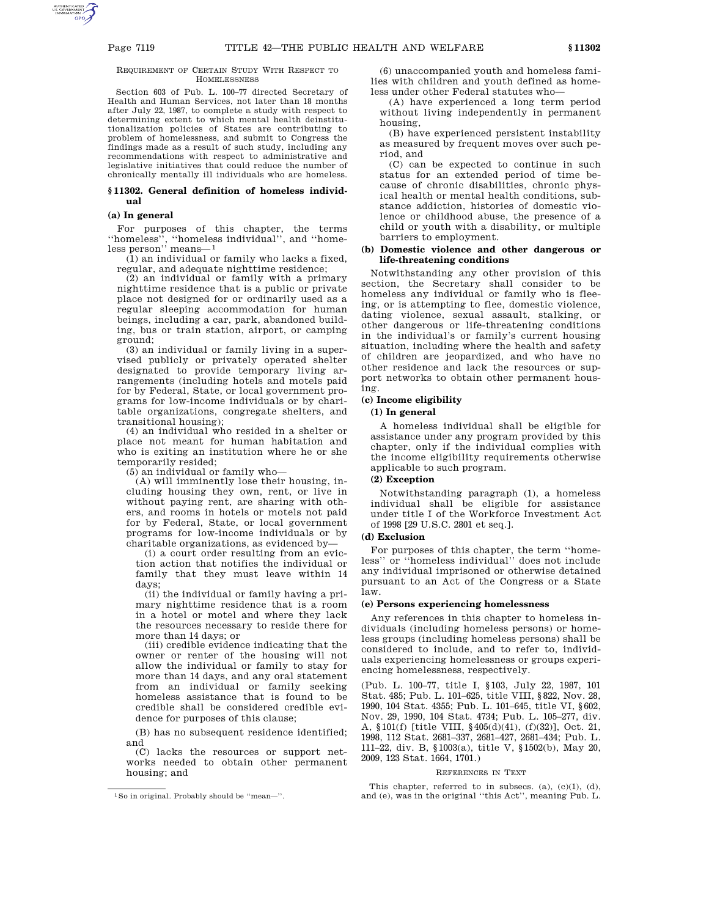#### REQUIREMENT OF CERTAIN STUDY WITH RESPECT TO HOMELESSNESS

Section 603 of Pub. L. 100–77 directed Secretary of Health and Human Services, not later than 18 months after July 22, 1987, to complete a study with respect to determining extent to which mental health deinstitutionalization policies of States are contributing to problem of homelessness, and submit to Congress the findings made as a result of such study, including any recommendations with respect to administrative and legislative initiatives that could reduce the number of chronically mentally ill individuals who are homeless.

#### **§ 11302. General definition of homeless individual**

### **(a) In general**

For purposes of this chapter, the terms ''homeless'', ''homeless individual'', and ''homeless person'' means—1

(1) an individual or family who lacks a fixed, regular, and adequate nighttime residence;

(2) an individual or family with a primary nighttime residence that is a public or private place not designed for or ordinarily used as a regular sleeping accommodation for human beings, including a car, park, abandoned building, bus or train station, airport, or camping ground;

(3) an individual or family living in a supervised publicly or privately operated shelter designated to provide temporary living arrangements (including hotels and motels paid for by Federal, State, or local government programs for low-income individuals or by charitable organizations, congregate shelters, and transitional housing);

(4) an individual who resided in a shelter or place not meant for human habitation and who is exiting an institution where he or she temporarily resided;

(5) an individual or family who—

(A) will imminently lose their housing, including housing they own, rent, or live in without paying rent, are sharing with others, and rooms in hotels or motels not paid for by Federal, State, or local government programs for low-income individuals or by charitable organizations, as evidenced by—

(i) a court order resulting from an eviction action that notifies the individual or family that they must leave within 14 days;

(ii) the individual or family having a primary nighttime residence that is a room in a hotel or motel and where they lack the resources necessary to reside there for more than 14 days; or

(iii) credible evidence indicating that the owner or renter of the housing will not allow the individual or family to stay for more than 14 days, and any oral statement from an individual or family seeking homeless assistance that is found to be credible shall be considered credible evidence for purposes of this clause;

(B) has no subsequent residence identified; and

(C) lacks the resources or support networks needed to obtain other permanent housing; and

(6) unaccompanied youth and homeless families with children and youth defined as homeless under other Federal statutes who—

(A) have experienced a long term period without living independently in permanent housing,

(B) have experienced persistent instability as measured by frequent moves over such period, and

(C) can be expected to continue in such status for an extended period of time because of chronic disabilities, chronic physical health or mental health conditions, substance addiction, histories of domestic violence or childhood abuse, the presence of a child or youth with a disability, or multiple barriers to employment.

## **(b) Domestic violence and other dangerous or life-threatening conditions**

Notwithstanding any other provision of this section, the Secretary shall consider to be homeless any individual or family who is fleeing, or is attempting to flee, domestic violence, dating violence, sexual assault, stalking, or other dangerous or life-threatening conditions in the individual's or family's current housing situation, including where the health and safety of children are jeopardized, and who have no other residence and lack the resources or support networks to obtain other permanent housing.

## **(c) Income eligibility**

# **(1) In general**

A homeless individual shall be eligible for assistance under any program provided by this chapter, only if the individual complies with the income eligibility requirements otherwise applicable to such program.

### **(2) Exception**

Notwithstanding paragraph (1), a homeless individual shall be eligible for assistance under title I of the Workforce Investment Act of 1998 [29 U.S.C. 2801 et seq.].

### **(d) Exclusion**

For purposes of this chapter, the term ''homeless'' or ''homeless individual'' does not include any individual imprisoned or otherwise detained pursuant to an Act of the Congress or a State law.

#### **(e) Persons experiencing homelessness**

Any references in this chapter to homeless individuals (including homeless persons) or homeless groups (including homeless persons) shall be considered to include, and to refer to, individuals experiencing homelessness or groups experiencing homelessness, respectively.

(Pub. L. 100–77, title I, §103, July 22, 1987, 101 Stat. 485; Pub. L. 101–625, title VIII, §822, Nov. 28, 1990, 104 Stat. 4355; Pub. L. 101–645, title VI, §602, Nov. 29, 1990, 104 Stat. 4734; Pub. L. 105–277, div. A, §101(f) [title VIII, §405(d)(41), (f)(32)], Oct. 21, 1998, 112 Stat. 2681–337, 2681–427, 2681–434; Pub. L. 111–22, div. B, §1003(a), title V, §1502(b), May 20, 2009, 123 Stat. 1664, 1701.)

#### REFERENCES IN TEXT

This chapter, referred to in subsecs. (a), (c)(1), (d), and (e), was in the original ''this Act'', meaning Pub. L.

<sup>1</sup>So in original. Probably should be ''mean—''.